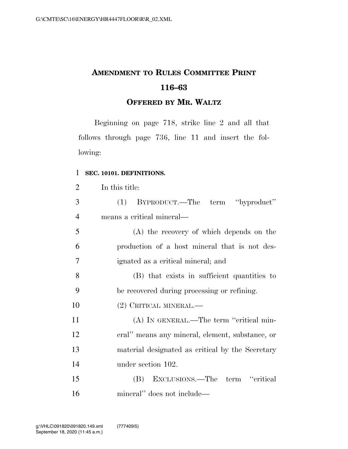# **AMENDMENT TO RULES COMMITTEE PRINT 116–63**

## **OFFERED BY MR. WALTZ**

Beginning on page 718, strike line 2 and all that follows through page 736, line 11 and insert the following:

## **SEC. 10101. DEFINITIONS.**

| $\overline{2}$ | In this title:                                   |
|----------------|--------------------------------------------------|
| 3              | BYPRODUCT.—The term "byproduct"<br>(1)           |
| $\overline{4}$ | means a critical mineral—                        |
| 5              | (A) the recovery of which depends on the         |
| 6              | production of a host mineral that is not des-    |
| 7              | ignated as a critical mineral; and               |
| 8              | (B) that exists in sufficient quantities to      |
| 9              | be recovered during processing or refining.      |
| 10             | (2) CRITICAL MINERAL.—                           |
| 11             | (A) IN GENERAL.—The term "critical min-          |
| 12             | eral" means any mineral, element, substance, or  |
| 13             | material designated as critical by the Secretary |
| 14             | under section 102.                               |
| 15             | (B) EXCLUSIONS.—The term "critical               |
| 16             | mineral" does not include—                       |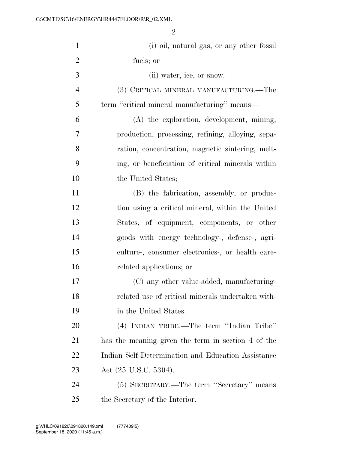| $\mathbf{1}$   | (i) oil, natural gas, or any other fossil          |
|----------------|----------------------------------------------------|
| $\overline{2}$ | fuels; or                                          |
| 3              | (ii) water, ice, or snow.                          |
| $\overline{4}$ | (3) CRITICAL MINERAL MANUFACTURING.—The            |
| 5              | term "critical mineral manufacturing" means—       |
| 6              | (A) the exploration, development, mining,          |
| 7              | production, processing, refining, alloying, sepa-  |
| 8              | ration, concentration, magnetic sintering, melt-   |
| 9              | ing, or beneficiation of critical minerals within  |
| 10             | the United States;                                 |
| 11             | (B) the fabrication, assembly, or produc-          |
| 12             | tion using a critical mineral, within the United   |
| 13             | States, of equipment, components, or other         |
| 14             | goods with energy technology-, defense-, agri-     |
| 15             | culture-, consumer electronics-, or health care-   |
| 16             | related applications; or                           |
| 17             | (C) any other value-added, manufacturing-          |
| 18             | related use of critical minerals undertaken with-  |
| 19             | in the United States.                              |
| 20             | (4) INDIAN TRIBE.—The term "Indian Tribe"          |
| 21             | has the meaning given the term in section 4 of the |
| 22             | Indian Self-Determination and Education Assistance |
| 23             | Act (25 U.S.C. 5304).                              |
| 24             | (5) SECRETARY.—The term "Secretary" means          |
| 25             | the Secretary of the Interior.                     |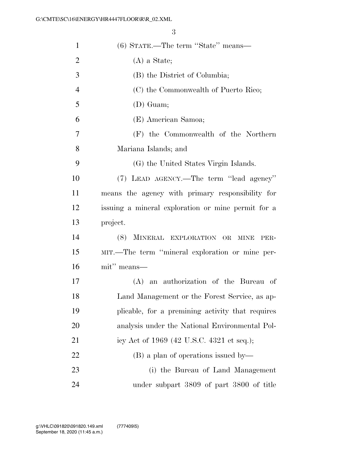| $\mathbf{1}$   | (6) STATE.—The term "State" means—                 |
|----------------|----------------------------------------------------|
| $\overline{2}$ | $(A)$ a State;                                     |
| 3              | (B) the District of Columbia;                      |
| $\overline{4}$ | (C) the Commonwealth of Puerto Rico;               |
| 5              | $(D)$ Guam;                                        |
| 6              | (E) American Samoa;                                |
| 7              | (F) the Commonwealth of the Northern               |
| 8              | Mariana Islands; and                               |
| 9              | (G) the United States Virgin Islands.              |
| 10             | (7) LEAD AGENCY.—The term "lead agency"            |
| 11             | means the agency with primary responsibility for   |
| 12             | issuing a mineral exploration or mine permit for a |
| 13             | project.                                           |
| 14             | (8) MINERAL EXPLORATION OR<br><b>MINE</b><br>PER-  |
| 15             | MIT.—The term "mineral exploration or mine per-    |
| 16             | mit" means—                                        |
| 17             | an authorization of the Bureau of<br>(A)           |
| 18             | Land Management or the Forest Service, as ap-      |
| 19             | plicable, for a premining activity that requires   |
| 20             | analysis under the National Environmental Pol-     |
| 21             | icy Act of 1969 (42 U.S.C. 4321 et seq.);          |
| 22             | (B) a plan of operations issued by—                |
| 23             | (i) the Bureau of Land Management                  |
| 24             | under subpart 3809 of part 3800 of title           |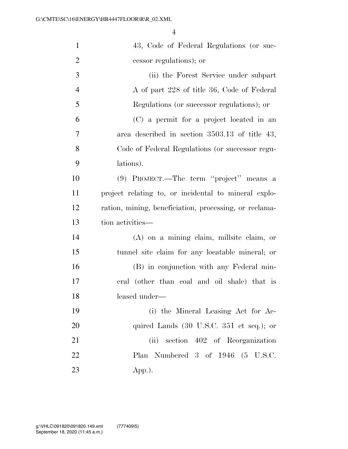| $\mathbf{1}$   | 43, Code of Federal Regulations (or suc-                    |
|----------------|-------------------------------------------------------------|
| $\overline{2}$ | cessor regulations); or                                     |
| 3              | (ii) the Forest Service under subpart                       |
| $\overline{4}$ | A of part 228 of title 36, Code of Federal                  |
| 5              | Regulations (or successor regulations); or                  |
| 6              | (C) a permit for a project located in an                    |
| $\tau$         | area described in section 3503.13 of title 43,              |
| 8              | Code of Federal Regulations (or successor regu-             |
| 9              | lations).                                                   |
| 10             | (9) PROJECT.—The term "project" means a                     |
| 11             | project relating to, or incidental to mineral explo-        |
| 12             | ration, mining, beneficiation, processing, or reclama-      |
| 13             | tion activities—                                            |
| 14             | $(A)$ on a mining claim, millsite claim, or                 |
| 15             | tunnel site claim for any locatable mineral; or             |
| 16             | (B) in conjunction with any Federal min-                    |
| 17             | eral (other than coal and oil shale) that is                |
| 18             | leased under-                                               |
| 19             | (i) the Mineral Leasing Act for Ac-                         |
| 20             | quired Lands $(30 \text{ U.S.C. } 351 \text{ et seq.});$ or |
| 21             | (ii) section 402 of Reorganization                          |
| 22             | Plan Numbered 3 of 1946 (5 U.S.C.                           |
| 23             | $App.$ ).                                                   |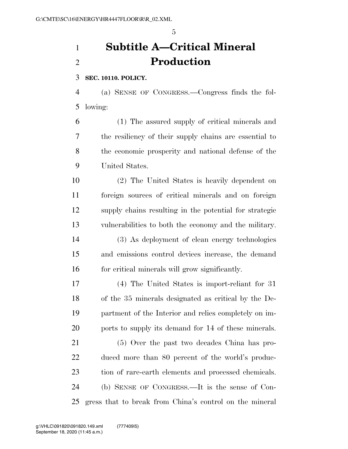# **Subtitle A—Critical Mineral Production**

## **SEC. 10110. POLICY.**

 (a) SENSE OF CONGRESS.—Congress finds the fol-lowing:

 (1) The assured supply of critical minerals and the resiliency of their supply chains are essential to the economic prosperity and national defense of the United States.

 (2) The United States is heavily dependent on foreign sources of critical minerals and on foreign supply chains resulting in the potential for strategic vulnerabilities to both the economy and the military. (3) As deployment of clean energy technologies and emissions control devices increase, the demand for critical minerals will grow significantly.

 (4) The United States is import-reliant for 31 of the 35 minerals designated as critical by the De- partment of the Interior and relies completely on im-ports to supply its demand for 14 of these minerals.

 (5) Over the past two decades China has pro- duced more than 80 percent of the world's produc- tion of rare-earth elements and processed chemicals. (b) SENSE OF CONGRESS.—It is the sense of Con-gress that to break from China's control on the mineral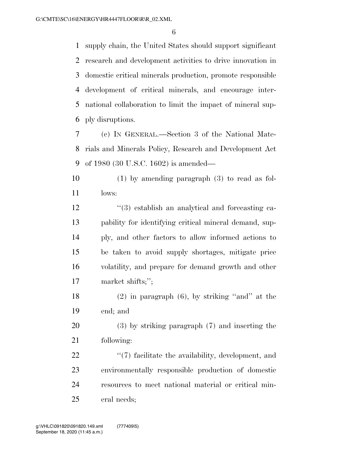supply chain, the United States should support significant research and development activities to drive innovation in domestic critical minerals production, promote responsible development of critical minerals, and encourage inter- national collaboration to limit the impact of mineral sup-ply disruptions.

 (c) IN GENERAL.—Section 3 of the National Mate- rials and Minerals Policy, Research and Development Act of 1980 (30 U.S.C. 1602) is amended—

 (1) by amending paragraph (3) to read as fol-lows:

12 ''(3) establish an analytical and forecasting ca- pability for identifying critical mineral demand, sup- ply, and other factors to allow informed actions to be taken to avoid supply shortages, mitigate price volatility, and prepare for demand growth and other market shifts;'';

 (2) in paragraph (6), by striking ''and'' at the end; and

 (3) by striking paragraph (7) and inserting the following:

 $\frac{4}{7}$  facilitate the availability, development, and environmentally responsible production of domestic resources to meet national material or critical min-eral needs;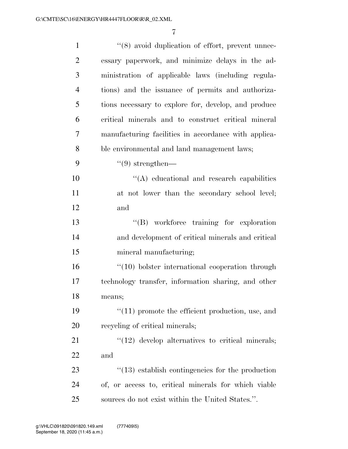| $\mathbf{1}$   | "(8) avoid duplication of effort, prevent unnec-        |
|----------------|---------------------------------------------------------|
| $\overline{2}$ | essary paperwork, and minimize delays in the ad-        |
| 3              | ministration of applicable laws (including regula-      |
| $\overline{4}$ | tions) and the issuance of permits and authoriza-       |
| 5              | tions necessary to explore for, develop, and produce    |
| 6              | critical minerals and to construct critical mineral     |
| 7              | manufacturing facilities in accordance with applica-    |
| 8              | ble environmental and land management laws;             |
| 9              | $\lq(9)$ strengthen—                                    |
| 10             | "(A) educational and research capabilities              |
| 11             | at not lower than the secondary school level;           |
| 12             | and                                                     |
| 13             | "(B) workforce training for exploration                 |
| 14             | and development of critical minerals and critical       |
| 15             | mineral manufacturing;                                  |
| 16             | "(10) bolster international cooperation through         |
| 17             | technology transfer, information sharing, and other     |
| 18             | means;                                                  |
| 19             | $\lq(11)$ promote the efficient production, use, and    |
| 20             | recycling of critical minerals;                         |
| 21             | $"(12)$ develop alternatives to critical minerals;      |
| 22             | and                                                     |
| 23             | $\cdot$ (13) establish contingencies for the production |
| 24             | of, or access to, critical minerals for which viable    |
| 25             | sources do not exist within the United States.".        |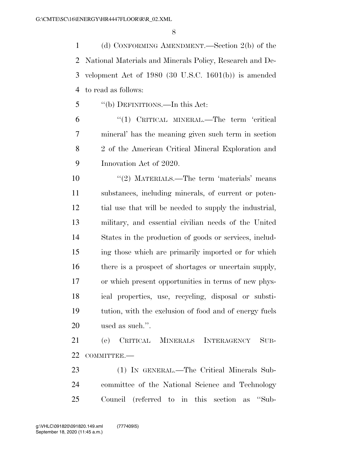(d) CONFORMING AMENDMENT.—Section 2(b) of the National Materials and Minerals Policy, Research and De- velopment Act of 1980 (30 U.S.C. 1601(b)) is amended to read as follows:

''(b) DEFINITIONS.—In this Act:

6 "(1) CRITICAL MINERAL.—The term 'critical mineral' has the meaning given such term in section 2 of the American Critical Mineral Exploration and Innovation Act of 2020.

 ''(2) MATERIALS.—The term 'materials' means substances, including minerals, of current or poten- tial use that will be needed to supply the industrial, military, and essential civilian needs of the United States in the production of goods or services, includ- ing those which are primarily imported or for which 16 there is a prospect of shortages or uncertain supply, or which present opportunities in terms of new phys- ical properties, use, recycling, disposal or substi- tution, with the exclusion of food and of energy fuels used as such.''.

 (e) CRITICAL MINERALS INTERAGENCY SUB-22 COMMITTEE.

 (1) IN GENERAL.—The Critical Minerals Sub- committee of the National Science and Technology Council (referred to in this section as ''Sub-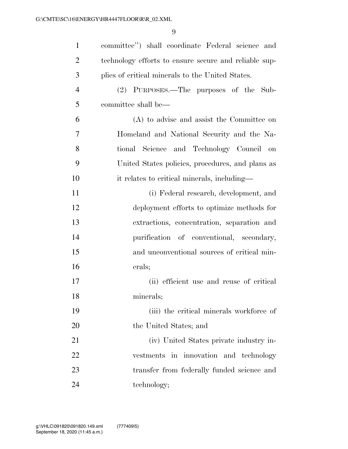| $\mathbf{1}$   | committee") shall coordinate Federal science and      |
|----------------|-------------------------------------------------------|
| $\overline{2}$ | technology efforts to ensure secure and reliable sup- |
| 3              | plies of critical minerals to the United States.      |
| $\overline{4}$ | (2) PURPOSES.—The purposes of the Sub-                |
| 5              | committee shall be—                                   |
| 6              | (A) to advise and assist the Committee on             |
| 7              | Homeland and National Security and the Na-            |
| 8              | tional Science and Technology Council on              |
| 9              | United States policies, procedures, and plans as      |
| 10             | it relates to critical minerals, including—           |
| 11             | (i) Federal research, development, and                |
| 12             | deployment efforts to optimize methods for            |
| 13             | extractions, concentration, separation and            |
| 14             | purification of conventional, secondary,              |
| 15             | and unconventional sources of critical min-           |
| 16             | erals;                                                |
| 17             | (ii) efficient use and reuse of critical              |
| 18             | minerals;                                             |
| 19             | (iii) the critical minerals workforce of              |
| 20             | the United States; and                                |
| 21             | (iv) United States private industry in-               |
| 22             | vestments in innovation and technology                |
| 23             | transfer from federally funded science and            |
| 24             | technology;                                           |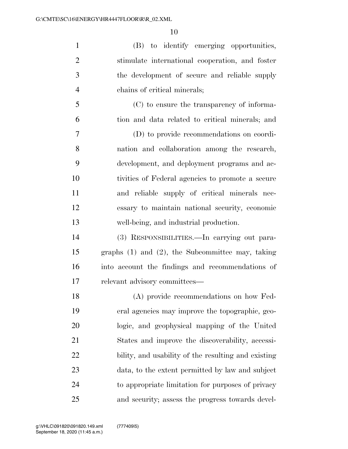| $\mathbf{1}$   | (B) to identify emerging opportunities,               |
|----------------|-------------------------------------------------------|
| $\overline{2}$ | stimulate international cooperation, and foster       |
| 3              | the development of secure and reliable supply         |
| $\overline{4}$ | chains of critical minerals;                          |
| 5              | (C) to ensure the transparency of informa-            |
| 6              | tion and data related to critical minerals; and       |
| 7              | (D) to provide recommendations on coordi-             |
| 8              | nation and collaboration among the research,          |
| 9              | development, and deployment programs and ac-          |
| 10             | tivities of Federal agencies to promote a secure      |
| 11             | and reliable supply of critical minerals nec-         |
| 12             | essary to maintain national security, economic        |
| 13             | well-being, and industrial production.                |
| 14             | (3) RESPONSIBILITIES.—In carrying out para-           |
| 15             | graphs $(1)$ and $(2)$ , the Subcommittee may, taking |
| 16             | into account the findings and recommendations of      |
| 17             | relevant advisory committees—                         |
| 18             | (A) provide recommendations on how Fed-               |
| 19             | eral agencies may improve the topographic, geo-       |
| 20             | logic, and geophysical mapping of the United          |
| 21             | States and improve the discoverability, accessi-      |
| 22             | bility, and usability of the resulting and existing   |
| 23             | data, to the extent permitted by law and subject      |
| 24             | to appropriate limitation for purposes of privacy     |
| 25             | and security; assess the progress towards devel-      |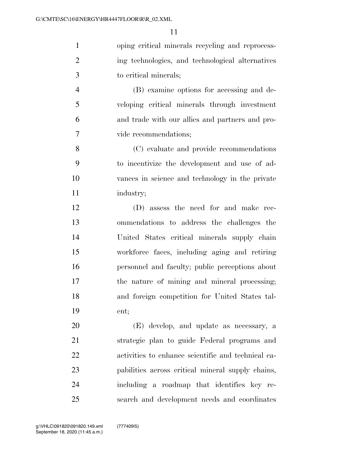| $\mathbf{1}$   | oping critical minerals recycling and reprocess- |
|----------------|--------------------------------------------------|
| 2              | ing technologies, and technological alternatives |
| 3              | to critical minerals;                            |
| $\overline{4}$ | (B) examine options for accessing and de-        |
| 5              | veloping critical minerals through investment    |
| 6              | and trade with our allies and partners and pro-  |
| 7              | vide recommendations;                            |

 (C) evaluate and provide recommendations to incentivize the development and use of ad- vances in science and technology in the private industry;

 (D) assess the need for and make rec- ommendations to address the challenges the United States critical minerals supply chain workforce faces, including aging and retiring personnel and faculty; public perceptions about the nature of mining and mineral processing; and foreign competition for United States tal-ent;

 (E) develop, and update as necessary, a strategic plan to guide Federal programs and activities to enhance scientific and technical ca- pabilities across critical mineral supply chains, including a roadmap that identifies key re-search and development needs and coordinates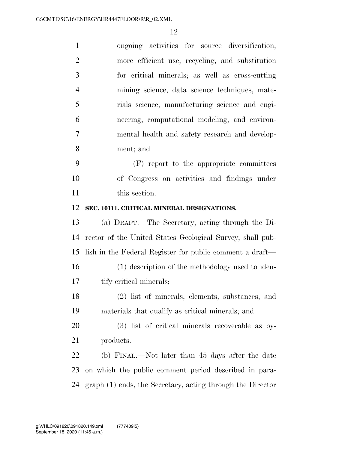| $\mathbf{1}$   | ongoing activities for source diversification,            |
|----------------|-----------------------------------------------------------|
| $\overline{2}$ | more efficient use, recycling, and substitution           |
| 3              | for critical minerals; as well as cross-cutting           |
| $\overline{4}$ | mining science, data science techniques, mate-            |
| 5              | rials science, manufacturing science and engi-            |
| 6              | neering, computational modeling, and environ-             |
| 7              | mental health and safety research and develop-            |
| 8              | ment; and                                                 |
| 9              | (F) report to the appropriate committees                  |
| 10             | of Congress on activities and findings under              |
| 11             | this section.                                             |
| 12             | SEC. 10111. CRITICAL MINERAL DESIGNATIONS.                |
| 13             | (a) DRAFT.—The Secretary, acting through the Di-          |
|                |                                                           |
| 14             | rector of the United States Geological Survey, shall pub- |
| 15             | lish in the Federal Register for public comment a draft—  |
| 16             | (1) description of the methodology used to iden-          |
| 17             | tify critical minerals;                                   |
| 18             | (2) list of minerals, elements, substances, and           |
| 19             | materials that qualify as critical minerals; and          |
| 20             | (3) list of critical minerals recoverable as by-          |
| 21             | products.                                                 |
| 22             | (b) FINAL.—Not later than 45 days after the date          |
| 23             | on which the public comment period described in para-     |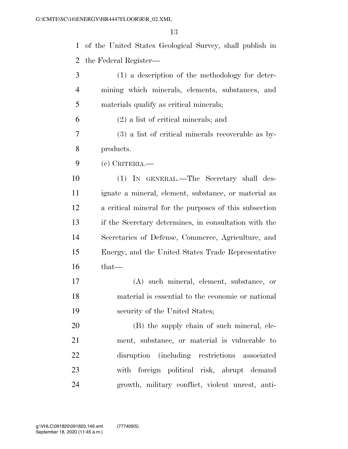|                | 13                                                       |
|----------------|----------------------------------------------------------|
| $\mathbf{1}$   | of the United States Geological Survey, shall publish in |
| $\overline{2}$ | the Federal Register—                                    |
| 3              | (1) a description of the methodology for deter-          |
| $\overline{4}$ | mining which minerals, elements, substances, and         |
| 5              | materials qualify as critical minerals;                  |
| 6              | $(2)$ a list of critical minerals; and                   |
| $\overline{7}$ | $(3)$ a list of critical minerals recoverable as by-     |
| 8              | products.                                                |
| 9              | $(e)$ CRITERIA.                                          |
| 10             | (1) IN GENERAL.—The Secretary shall des-                 |
| 11             | ignate a mineral, element, substance, or material as     |
| 12             | a critical mineral for the purposes of this subsection   |
| 13             | if the Secretary determines, in consultation with the    |
| 14             | Secretaries of Defense, Commerce, Agriculture, and       |
| 15             | Energy, and the United States Trade Representative       |
| 16             | that—                                                    |

 (A) such mineral, element, substance, or material is essential to the economic or national security of the United States;

 (B) the supply chain of such mineral, ele- ment, substance, or material is vulnerable to disruption (including restrictions associated with foreign political risk, abrupt demand growth, military conflict, violent unrest, anti-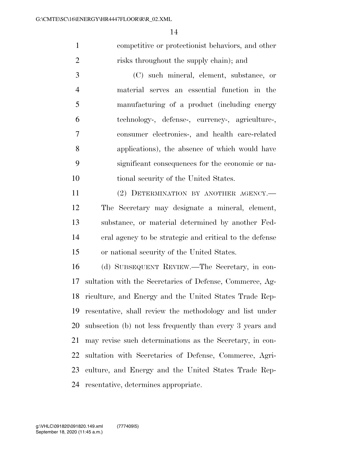competitive or protectionist behaviors, and other risks throughout the supply chain); and

 (C) such mineral, element, substance, or material serves an essential function in the manufacturing of a product (including energy technology-, defense-, currency-, agriculture-, consumer electronics-, and health care-related applications), the absence of which would have significant consequences for the economic or na-tional security of the United States.

11 (2) DETERMINATION BY ANOTHER AGENCY.— The Secretary may designate a mineral, element, substance, or material determined by another Fed- eral agency to be strategic and critical to the defense or national security of the United States.

 (d) SUBSEQUENT REVIEW.—The Secretary, in con- sultation with the Secretaries of Defense, Commerce, Ag- riculture, and Energy and the United States Trade Rep- resentative, shall review the methodology and list under subsection (b) not less frequently than every 3 years and may revise such determinations as the Secretary, in con- sultation with Secretaries of Defense, Commerce, Agri- culture, and Energy and the United States Trade Rep-resentative, determines appropriate.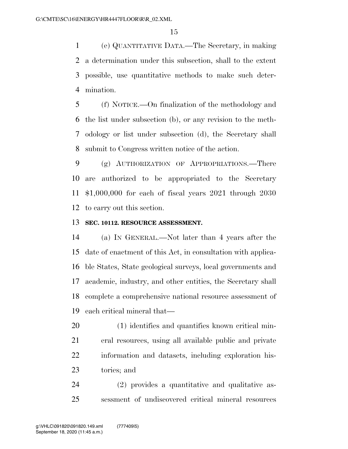(e) QUANTITATIVE DATA.—The Secretary, in making a determination under this subsection, shall to the extent possible, use quantitative methods to make such deter-mination.

 (f) NOTICE.—On finalization of the methodology and the list under subsection (b), or any revision to the meth- odology or list under subsection (d), the Secretary shall submit to Congress written notice of the action.

 (g) AUTHORIZATION OF APPROPRIATIONS.—There are authorized to be appropriated to the Secretary \$1,000,000 for each of fiscal years 2021 through 2030 to carry out this section.

## **SEC. 10112. RESOURCE ASSESSMENT.**

 (a) IN GENERAL.—Not later than 4 years after the date of enactment of this Act, in consultation with applica- ble States, State geological surveys, local governments and academic, industry, and other entities, the Secretary shall complete a comprehensive national resource assessment of each critical mineral that—

 (1) identifies and quantifies known critical min- eral resources, using all available public and private information and datasets, including exploration his-tories; and

 (2) provides a quantitative and qualitative as-sessment of undiscovered critical mineral resources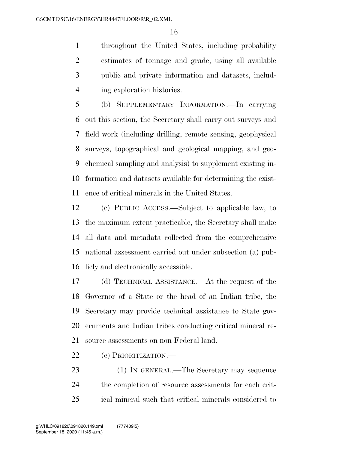throughout the United States, including probability estimates of tonnage and grade, using all available public and private information and datasets, includ-ing exploration histories.

 (b) SUPPLEMENTARY INFORMATION.—In carrying out this section, the Secretary shall carry out surveys and field work (including drilling, remote sensing, geophysical surveys, topographical and geological mapping, and geo- chemical sampling and analysis) to supplement existing in- formation and datasets available for determining the exist-ence of critical minerals in the United States.

 (c) PUBLIC ACCESS.—Subject to applicable law, to the maximum extent practicable, the Secretary shall make all data and metadata collected from the comprehensive national assessment carried out under subsection (a) pub-licly and electronically accessible.

 (d) TECHNICAL ASSISTANCE.—At the request of the Governor of a State or the head of an Indian tribe, the Secretary may provide technical assistance to State gov- ernments and Indian tribes conducting critical mineral re-source assessments on non-Federal land.

- (e) PRIORITIZATION.—
- (1) IN GENERAL.—The Secretary may sequence the completion of resource assessments for each crit-ical mineral such that critical minerals considered to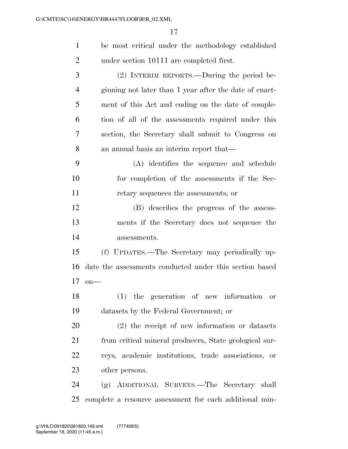| $\mathbf{1}$   | be most critical under the methodology established      |
|----------------|---------------------------------------------------------|
| $\overline{2}$ | under section 10111 are completed first.                |
| 3              | (2) INTERIM REPORTS.—During the period be-              |
| 4              | ginning not later than 1 year after the date of enact-  |
| 5              | ment of this Act and ending on the date of comple-      |
| 6              | tion of all of the assessments required under this      |
| 7              | section, the Secretary shall submit to Congress on      |
| 8              | an annual basis an interim report that—                 |
| 9              | (A) identifies the sequence and schedule                |
| 10             | for completion of the assessments if the Sec-           |
| 11             | retary sequences the assessments; or                    |
| 12             | (B) describes the progress of the assess-               |
| 13             | ments if the Secretary does not sequence the            |
| 14             | assessments.                                            |
| 15             | (f) UPDATES.—The Secretary may periodically up-         |
| 16             | date the assessments conducted under this section based |
| 17             | $on$ —                                                  |
| 18             | $(1)$ the generation of new information or              |
| 19             | datasets by the Federal Government; or                  |
| 20             | $(2)$ the receipt of new information or datasets        |
| 21             | from critical mineral producers, State geological sur-  |
| 22             | veys, academic institutions, trade associations, or     |
| 23             | other persons.                                          |
| 24             | (g) ADDITIONAL SURVEYS.—The Secretary shall             |
| 25             | complete a resource assessment for each additional min- |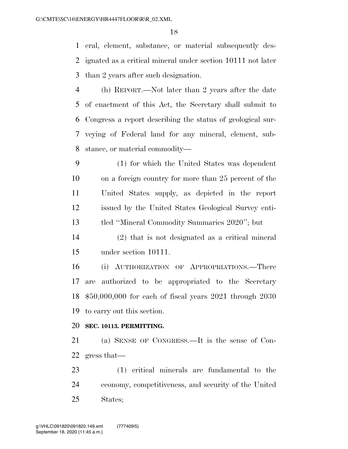eral, element, substance, or material subsequently des- ignated as a critical mineral under section 10111 not later than 2 years after such designation.

 (h) REPORT.—Not later than 2 years after the date of enactment of this Act, the Secretary shall submit to Congress a report describing the status of geological sur- veying of Federal land for any mineral, element, sub-stance, or material commodity—

 (1) for which the United States was dependent on a foreign country for more than 25 percent of the United States supply, as depicted in the report issued by the United States Geological Survey enti-tled ''Mineral Commodity Summaries 2020''; but

 (2) that is not designated as a critical mineral under section 10111.

 (i) AUTHORIZATION OF APPROPRIATIONS.—There are authorized to be appropriated to the Secretary \$50,000,000 for each of fiscal years 2021 through 2030 to carry out this section.

### **SEC. 10113. PERMITTING.**

 (a) SENSE OF CONGRESS.—It is the sense of Con-gress that—

 (1) critical minerals are fundamental to the economy, competitiveness, and security of the United States;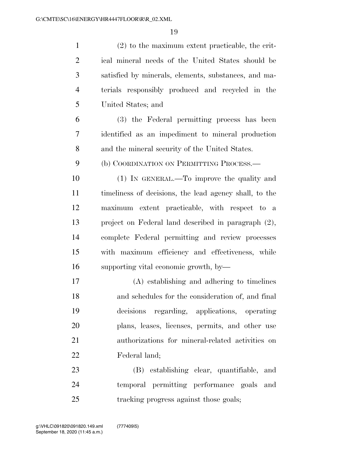| $\mathbf{1}$   | $(2)$ to the maximum extent practicable, the crit-     |
|----------------|--------------------------------------------------------|
| $\overline{2}$ | ical mineral needs of the United States should be      |
| 3              | satisfied by minerals, elements, substances, and ma-   |
| $\overline{4}$ | terials responsibly produced and recycled in the       |
| 5              | United States; and                                     |
| 6              | (3) the Federal permitting process has been            |
| 7              | identified as an impediment to mineral production      |
| 8              | and the mineral security of the United States.         |
| 9              | (b) COORDINATION ON PERMITTING PROCESS.-               |
| 10             | (1) IN GENERAL.—To improve the quality and             |
| 11             | timeliness of decisions, the lead agency shall, to the |
| 12             | maximum extent practicable, with respect to a          |
| 13             | project on Federal land described in paragraph (2),    |
| 14             | complete Federal permitting and review processes       |
| 15             | with maximum efficiency and effectiveness, while       |
| 16             | supporting vital economic growth, by—                  |
| 17             | $(A)$ establishing and adhering to timelines           |
| 18             | and schedules for the consideration of, and final      |
| 19             | decisions regarding, applications, operating           |
| 20             | plans, leases, licenses, permits, and other use        |
| 21             | authorizations for mineral-related activities on       |
| 22             | Federal land;                                          |
| 23             | (B) establishing clear, quantifiable, and              |
| 24             | temporal permitting performance goals and              |
| 25             | tracking progress against those goals;                 |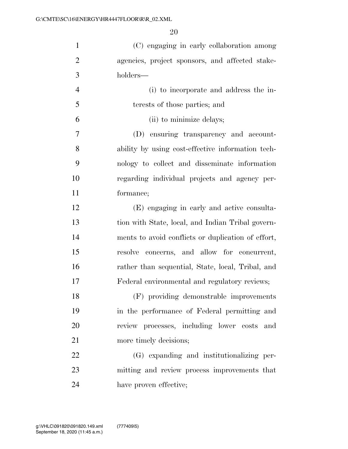(C) engaging in early collaboration among agencies, project sponsors, and affected stake-holders—

 (i) to incorporate and address the in- terests of those parties; and (ii) to minimize delays; (D) ensuring transparency and account-ability by using cost-effective information tech-

 nology to collect and disseminate information regarding individual projects and agency per-formance;

 (E) engaging in early and active consulta- tion with State, local, and Indian Tribal govern- ments to avoid conflicts or duplication of effort, resolve concerns, and allow for concurrent, rather than sequential, State, local, Tribal, and Federal environmental and regulatory reviews;

 (F) providing demonstrable improvements in the performance of Federal permitting and review processes, including lower costs and 21 more timely decisions;

 (G) expanding and institutionalizing per- mitting and review process improvements that have proven effective;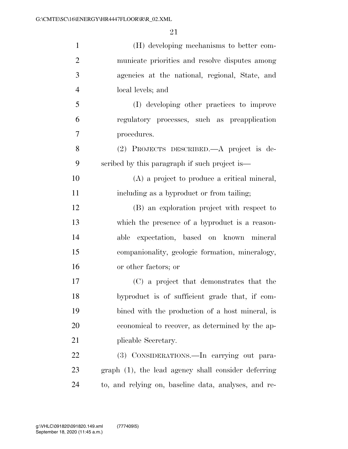| $\mathbf{1}$   | (H) developing mechanisms to better com-             |
|----------------|------------------------------------------------------|
| $\overline{2}$ | municate priorities and resolve disputes among       |
| 3              | agencies at the national, regional, State, and       |
| $\overline{4}$ | local levels; and                                    |
| 5              | (I) developing other practices to improve            |
| 6              | regulatory processes, such as preapplication         |
| 7              | procedures.                                          |
| 8              | (2) PROJECTS DESCRIBED.—A project is de-             |
| 9              | scribed by this paragraph if such project is—        |
| 10             | (A) a project to produce a critical mineral,         |
| 11             | including as a byproduct or from tailing;            |
| 12             | (B) an exploration project with respect to           |
| 13             | which the presence of a byproduct is a reason-       |
| 14             | expectation, based on known mineral<br>able          |
| 15             | companionality, geologic formation, mineralogy,      |
| 16             | or other factors; or                                 |
| 17             | (C) a project that demonstrates that the             |
| 18             | byproduct is of sufficient grade that, if com-       |
| 19             | bined with the production of a host mineral, is      |
| 20             | economical to recover, as determined by the ap-      |
| 21             | plicable Secretary.                                  |
| 22             | (3) CONSIDERATIONS.—In carrying out para-            |
| 23             | graph (1), the lead agency shall consider deferring  |
| 24             | to, and relying on, baseline data, analyses, and re- |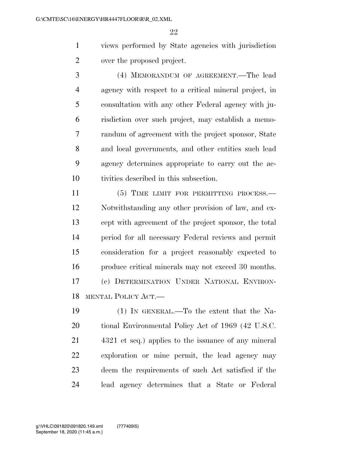views performed by State agencies with jurisdiction over the proposed project.

 (4) MEMORANDUM OF AGREEMENT.—The lead agency with respect to a critical mineral project, in consultation with any other Federal agency with ju- risdiction over such project, may establish a memo- randum of agreement with the project sponsor, State and local governments, and other entities such lead agency determines appropriate to carry out the ac-tivities described in this subsection.

11 (5) TIME LIMIT FOR PERMITTING PROCESS.— Notwithstanding any other provision of law, and ex- cept with agreement of the project sponsor, the total period for all necessary Federal reviews and permit consideration for a project reasonably expected to produce critical minerals may not exceed 30 months. (c) DETERMINATION UNDER NATIONAL ENVIRON-MENTAL POLICY ACT.—

 (1) IN GENERAL.—To the extent that the Na- tional Environmental Policy Act of 1969 (42 U.S.C. 4321 et seq.) applies to the issuance of any mineral exploration or mine permit, the lead agency may deem the requirements of such Act satisfied if the lead agency determines that a State or Federal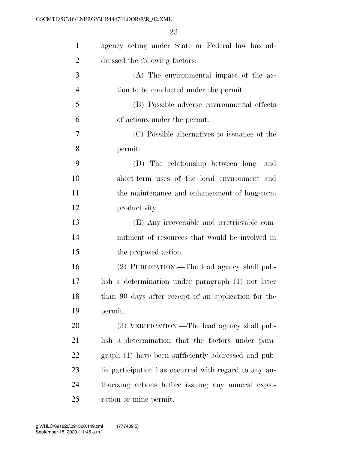| $\mathbf{1}$   | agency acting under State or Federal law has ad-      |
|----------------|-------------------------------------------------------|
| $\overline{2}$ | dressed the following factors:                        |
| 3              | (A) The environmental impact of the ac-               |
| $\overline{4}$ | tion to be conducted under the permit.                |
| 5              | (B) Possible adverse environmental effects            |
| 6              | of actions under the permit.                          |
| 7              | (C) Possible alternatives to issuance of the          |
| 8              | permit.                                               |
| 9              | (D) The relationship between long- and                |
| 10             | short-term uses of the local environment and          |
| 11             | the maintenance and enhancement of long-term          |
| 12             | productivity.                                         |
| 13             | (E) Any irreversible and irretrievable com-           |
| 14             | mitment of resources that would be involved in        |
| 15             | the proposed action.                                  |
| 16             | (2) PUBLICATION.—The lead agency shall pub-           |
| 17             | lish a determination under paragraph (1) not later    |
| 18             | than 90 days after receipt of an application for the  |
| 19             | permit.                                               |
| 20             | (3) VERIFICATION.—The lead agency shall pub-          |
| 21             | lish a determination that the factors under para-     |
| 22             | graph (1) have been sufficiently addressed and pub-   |
| 23             | lic participation has occurred with regard to any au- |
| 24             | thorizing actions before issuing any mineral explo-   |
| 25             | ration or mine permit.                                |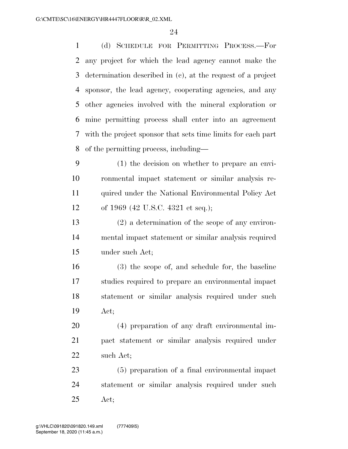(d) SCHEDULE FOR PERMITTING PROCESS.—For any project for which the lead agency cannot make the determination described in (c), at the request of a project sponsor, the lead agency, cooperating agencies, and any other agencies involved with the mineral exploration or mine permitting process shall enter into an agreement with the project sponsor that sets time limits for each part of the permitting process, including—

 (1) the decision on whether to prepare an envi- ronmental impact statement or similar analysis re- quired under the National Environmental Policy Act of 1969 (42 U.S.C. 4321 et seq.);

 (2) a determination of the scope of any environ- mental impact statement or similar analysis required under such Act;

 (3) the scope of, and schedule for, the baseline studies required to prepare an environmental impact statement or similar analysis required under such Act;

 (4) preparation of any draft environmental im- pact statement or similar analysis required under such Act;

 (5) preparation of a final environmental impact statement or similar analysis required under such Act;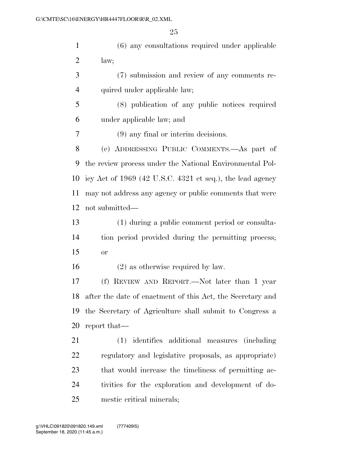(6) any consultations required under applicable law; (7) submission and review of any comments re-4 quired under applicable law; (8) publication of any public notices required under applicable law; and (9) any final or interim decisions. (e) ADDRESSING PUBLIC COMMENTS.—As part of the review process under the National Environmental Pol- icy Act of 1969 (42 U.S.C. 4321 et seq.), the lead agency may not address any agency or public comments that were not submitted— (1) during a public comment period or consulta- tion period provided during the permitting process; or (2) as otherwise required by law. (f) REVIEW AND REPORT.—Not later than 1 year after the date of enactment of this Act, the Secretary and the Secretary of Agriculture shall submit to Congress a report that— (1) identifies additional measures (including regulatory and legislative proposals, as appropriate) that would increase the timeliness of permitting ac-tivities for the exploration and development of do-

mestic critical minerals;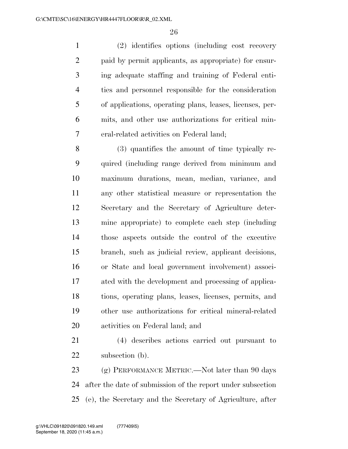(2) identifies options (including cost recovery paid by permit applicants, as appropriate) for ensur- ing adequate staffing and training of Federal enti- ties and personnel responsible for the consideration of applications, operating plans, leases, licenses, per- mits, and other use authorizations for critical min-eral-related activities on Federal land;

 (3) quantifies the amount of time typically re- quired (including range derived from minimum and maximum durations, mean, median, variance, and any other statistical measure or representation the Secretary and the Secretary of Agriculture deter- mine appropriate) to complete each step (including those aspects outside the control of the executive branch, such as judicial review, applicant decisions, or State and local government involvement) associ- ated with the development and processing of applica- tions, operating plans, leases, licenses, permits, and other use authorizations for critical mineral-related activities on Federal land; and

 (4) describes actions carried out pursuant to 22 subsection (b).

23 (g) PERFORMANCE METRIC.—Not later than 90 days after the date of submission of the report under subsection (e), the Secretary and the Secretary of Agriculture, after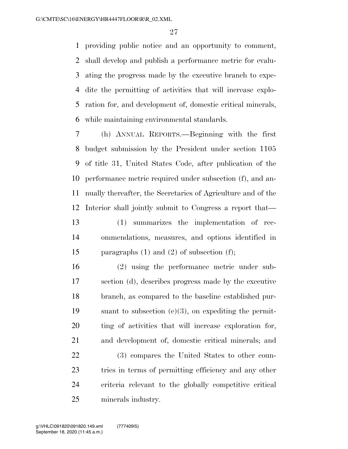providing public notice and an opportunity to comment, shall develop and publish a performance metric for evalu- ating the progress made by the executive branch to expe- dite the permitting of activities that will increase explo- ration for, and development of, domestic critical minerals, while maintaining environmental standards.

 (h) ANNUAL REPORTS.—Beginning with the first budget submission by the President under section 1105 of title 31, United States Code, after publication of the performance metric required under subsection (f), and an- nually thereafter, the Secretaries of Agriculture and of the Interior shall jointly submit to Congress a report that— (1) summarizes the implementation of rec- ommendations, measures, and options identified in paragraphs (1) and (2) of subsection (f);

 (2) using the performance metric under sub- section (d), describes progress made by the executive branch, as compared to the baseline established pur- suant to subsection (c)(3), on expediting the permit- ting of activities that will increase exploration for, and development of, domestic critical minerals; and

 (3) compares the United States to other coun- tries in terms of permitting efficiency and any other criteria relevant to the globally competitive critical minerals industry.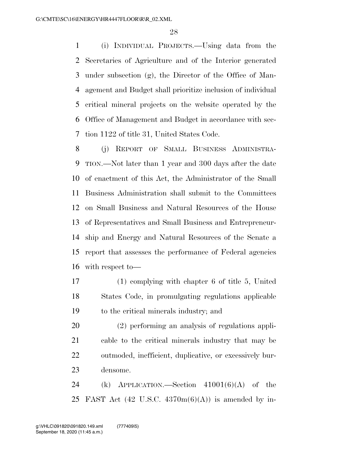(i) INDIVIDUAL PROJECTS.—Using data from the Secretaries of Agriculture and of the Interior generated under subsection (g), the Director of the Office of Man- agement and Budget shall prioritize inclusion of individual critical mineral projects on the website operated by the Office of Management and Budget in accordance with sec-tion 1122 of title 31, United States Code.

 (j) REPORT OF SMALL BUSINESS ADMINISTRA- TION.—Not later than 1 year and 300 days after the date of enactment of this Act, the Administrator of the Small Business Administration shall submit to the Committees on Small Business and Natural Resources of the House of Representatives and Small Business and Entrepreneur- ship and Energy and Natural Resources of the Senate a report that assesses the performance of Federal agencies with respect to—

 (1) complying with chapter 6 of title 5, United States Code, in promulgating regulations applicable to the critical minerals industry; and

 (2) performing an analysis of regulations appli- cable to the critical minerals industry that may be outmoded, inefficient, duplicative, or excessively bur-densome.

24 (k) APPLICATION.—Section  $41001(6)(A)$  of the 25 FAST Act  $(42 \text{ U.S.C. } 4370 \text{m}(6)(\text{A}))$  is amended by in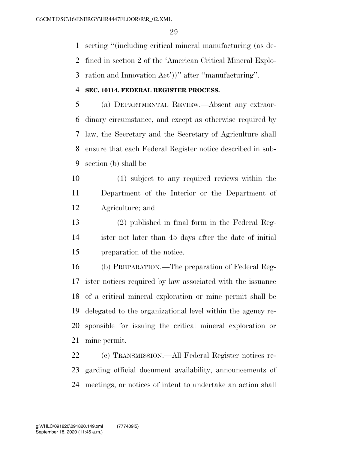serting ''(including critical mineral manufacturing (as de-

fined in section 2 of the 'American Critical Mineral Explo-

ration and Innovation Act'))'' after ''manufacturing''.

### **SEC. 10114. FEDERAL REGISTER PROCESS.**

 (a) DEPARTMENTAL REVIEW.—Absent any extraor- dinary circumstance, and except as otherwise required by law, the Secretary and the Secretary of Agriculture shall ensure that each Federal Register notice described in sub-section (b) shall be—

 (1) subject to any required reviews within the Department of the Interior or the Department of Agriculture; and

 (2) published in final form in the Federal Reg- ister not later than 45 days after the date of initial preparation of the notice.

 (b) PREPARATION.—The preparation of Federal Reg- ister notices required by law associated with the issuance of a critical mineral exploration or mine permit shall be delegated to the organizational level within the agency re- sponsible for issuing the critical mineral exploration or mine permit.

 (c) TRANSMISSION.—All Federal Register notices re- garding official document availability, announcements of meetings, or notices of intent to undertake an action shall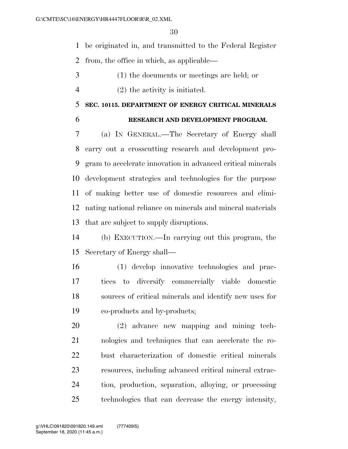be originated in, and transmitted to the Federal Register

from, the office in which, as applicable—

- (1) the documents or meetings are held; or
- (2) the activity is initiated.

## **SEC. 10115. DEPARTMENT OF ENERGY CRITICAL MINERALS**

## **RESEARCH AND DEVELOPMENT PROGRAM.**

 (a) IN GENERAL.—The Secretary of Energy shall carry out a crosscutting research and development pro- gram to accelerate innovation in advanced critical minerals development strategies and technologies for the purpose of making better use of domestic resources and elimi- nating national reliance on minerals and mineral materials that are subject to supply disruptions.

 (b) EXECUTION.—In carrying out this program, the Secretary of Energy shall—

 (1) develop innovative technologies and prac- tices to diversify commercially viable domestic sources of critical minerals and identify new uses for co-products and by-products;

 (2) advance new mapping and mining tech- nologies and techniques that can accelerate the ro- bust characterization of domestic critical minerals resources, including advanced critical mineral extrac- tion, production, separation, alloying, or processing technologies that can decrease the energy intensity,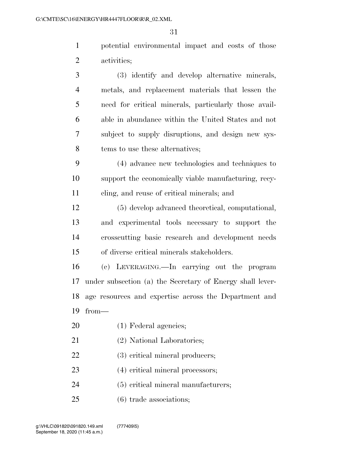potential environmental impact and costs of those activities;

- (3) identify and develop alternative minerals, metals, and replacement materials that lessen the need for critical minerals, particularly those avail- able in abundance within the United States and not subject to supply disruptions, and design new sys-8 tems to use these alternatives; (4) advance new technologies and techniques to support the economically viable manufacturing, recy- cling, and reuse of critical minerals; and (5) develop advanced theoretical, computational, and experimental tools necessary to support the crosscutting basic research and development needs of diverse critical minerals stakeholders. (c) LEVERAGING.—In carrying out the program under subsection (a) the Secretary of Energy shall lever- age resources and expertise across the Department and from— (1) Federal agencies; (2) National Laboratories; (3) critical mineral producers;
- (4) critical mineral processors;
- (5) critical mineral manufacturers;
- (6) trade associations;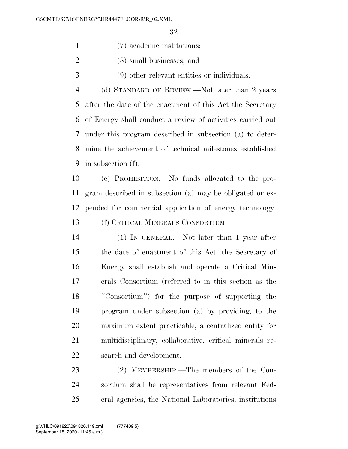(7) academic institutions;

- (8) small businesses; and
- (9) other relevant entities or individuals.
- (d) STANDARD OF REVIEW.—Not later than 2 years after the date of the enactment of this Act the Secretary of Energy shall conduct a review of activities carried out under this program described in subsection (a) to deter- mine the achievement of technical milestones established in subsection (f).

 (e) PROHIBITION.—No funds allocated to the pro- gram described in subsection (a) may be obligated or ex-pended for commercial application of energy technology.

(f) CRITICAL MINERALS CONSORTIUM.—

 (1) IN GENERAL.—Not later than 1 year after the date of enactment of this Act, the Secretary of Energy shall establish and operate a Critical Min- erals Consortium (referred to in this section as the ''Consortium'') for the purpose of supporting the program under subsection (a) by providing, to the maximum extent practicable, a centralized entity for multidisciplinary, collaborative, critical minerals re-search and development.

 (2) MEMBERSHIP.—The members of the Con- sortium shall be representatives from relevant Fed-eral agencies, the National Laboratories, institutions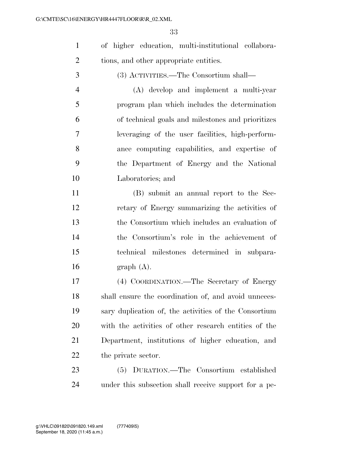of higher education, multi-institutional collabora-tions, and other appropriate entities.

(3) ACTIVITIES.—The Consortium shall—

 (A) develop and implement a multi-year program plan which includes the determination of technical goals and milestones and prioritizes leveraging of the user facilities, high-perform- ance computing capabilities, and expertise of the Department of Energy and the National Laboratories; and

 (B) submit an annual report to the Sec- retary of Energy summarizing the activities of the Consortium which includes an evaluation of the Consortium's role in the achievement of technical milestones determined in subpara- $16 \quad \text{graph} \quad (A).$ 

 (4) COORDINATION.—The Secretary of Energy shall ensure the coordination of, and avoid unneces- sary duplication of, the activities of the Consortium with the activities of other research entities of the Department, institutions of higher education, and 22 the private sector.

 (5) DURATION.—The Consortium established under this subsection shall receive support for a pe-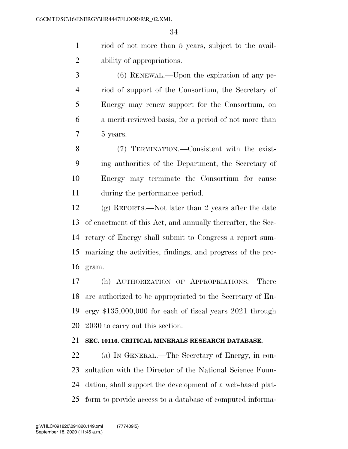riod of not more than 5 years, subject to the avail-ability of appropriations.

 (6) RENEWAL.—Upon the expiration of any pe- riod of support of the Consortium, the Secretary of Energy may renew support for the Consortium, on a merit-reviewed basis, for a period of not more than 5 years.

 (7) TERMINATION.—Consistent with the exist- ing authorities of the Department, the Secretary of Energy may terminate the Consortium for cause during the performance period.

 (g) REPORTS.—Not later than 2 years after the date of enactment of this Act, and annually thereafter, the Sec- retary of Energy shall submit to Congress a report sum- marizing the activities, findings, and progress of the pro-gram.

 (h) AUTHORIZATION OF APPROPRIATIONS.—There are authorized to be appropriated to the Secretary of En- ergy \$135,000,000 for each of fiscal years 2021 through 2030 to carry out this section.

## **SEC. 10116. CRITICAL MINERALS RESEARCH DATABASE.**

 (a) IN GENERAL.—The Secretary of Energy, in con- sultation with the Director of the National Science Foun- dation, shall support the development of a web-based plat-form to provide access to a database of computed informa-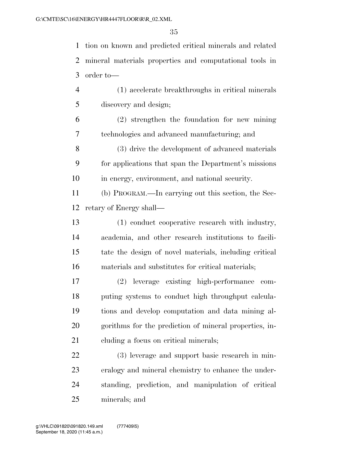tion on known and predicted critical minerals and related mineral materials properties and computational tools in order to—

 (1) accelerate breakthroughs in critical minerals discovery and design;

 (2) strengthen the foundation for new mining technologies and advanced manufacturing; and

 (3) drive the development of advanced materials for applications that span the Department's missions in energy, environment, and national security.

 (b) PROGRAM.—In carrying out this section, the Sec-retary of Energy shall—

 (1) conduct cooperative research with industry, academia, and other research institutions to facili- tate the design of novel materials, including critical materials and substitutes for critical materials;

 (2) leverage existing high-performance com- puting systems to conduct high throughput calcula- tions and develop computation and data mining al- gorithms for the prediction of mineral properties, in-cluding a focus on critical minerals;

 (3) leverage and support basic research in min- eralogy and mineral chemistry to enhance the under- standing, prediction, and manipulation of critical minerals; and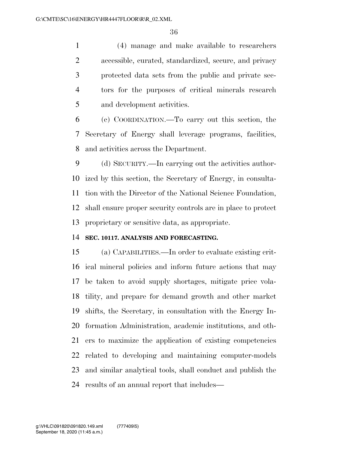(4) manage and make available to researchers accessible, curated, standardized, secure, and privacy protected data sets from the public and private sec- tors for the purposes of critical minerals research and development activities.

 (c) COORDINATION.—To carry out this section, the Secretary of Energy shall leverage programs, facilities, and activities across the Department.

 (d) SECURITY.—In carrying out the activities author- ized by this section, the Secretary of Energy, in consulta- tion with the Director of the National Science Foundation, shall ensure proper security controls are in place to protect proprietary or sensitive data, as appropriate.

### **SEC. 10117. ANALYSIS AND FORECASTING.**

 (a) CAPABILITIES.—In order to evaluate existing crit- ical mineral policies and inform future actions that may be taken to avoid supply shortages, mitigate price vola- tility, and prepare for demand growth and other market shifts, the Secretary, in consultation with the Energy In- formation Administration, academic institutions, and oth- ers to maximize the application of existing competencies related to developing and maintaining computer-models and similar analytical tools, shall conduct and publish the results of an annual report that includes—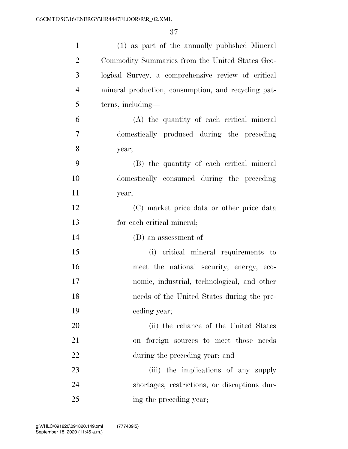| $\mathbf{1}$   | (1) as part of the annually published Mineral       |
|----------------|-----------------------------------------------------|
| $\overline{2}$ | Commodity Summaries from the United States Geo-     |
| 3              | logical Survey, a comprehensive review of critical  |
| $\overline{4}$ | mineral production, consumption, and recycling pat- |
| 5              | terns, including—                                   |
| 6              | (A) the quantity of each critical mineral           |
| 7              | domestically produced during the preceding          |
| 8              | year;                                               |
| 9              | (B) the quantity of each critical mineral           |
| 10             | domestically consumed during the preceding          |
| 11             | year;                                               |
| 12             | (C) market price data or other price data           |
| 13             | for each critical mineral;                          |
| 14             | (D) an assessment of $-$                            |
| 15             | (i) critical mineral requirements to                |
| 16             | meet the national security, energy, eco-            |
| 17             | nomic, industrial, technological, and other         |
| 18             | needs of the United States during the pre-          |
| 19             | ceding year;                                        |
| 20             | (ii) the reliance of the United States              |
| 21             | on foreign sources to meet those needs              |
| 22             | during the preceding year; and                      |
| 23             | (iii) the implications of any supply                |
| 24             | shortages, restrictions, or disruptions dur-        |
| 25             | ing the preceding year;                             |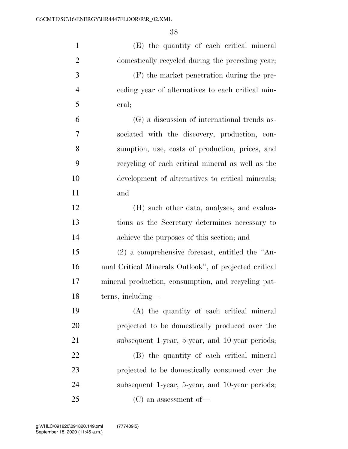| $\mathbf{1}$   | (E) the quantity of each critical mineral              |
|----------------|--------------------------------------------------------|
| $\overline{2}$ | domestically recycled during the preceding year;       |
| 3              | (F) the market penetration during the pre-             |
| $\overline{4}$ | eeding year of alternatives to each critical min-      |
| 5              | eral;                                                  |
| 6              | (G) a discussion of international trends as-           |
| 7              | sociated with the discovery, production, con-          |
| 8              | sumption, use, costs of production, prices, and        |
| 9              | recycling of each critical mineral as well as the      |
| 10             | development of alternatives to critical minerals;      |
| 11             | and                                                    |
| 12             | (H) such other data, analyses, and evalua-             |
| 13             | tions as the Secretary determines necessary to         |
| 14             | achieve the purposes of this section; and              |
| 15             | $(2)$ a comprehensive forecast, entitled the "An-      |
| 16             | nual Critical Minerals Outlook", of projected critical |
| 17             | mineral production, consumption, and recycling pat-    |
| 18             | terns, including—                                      |
| 19             | (A) the quantity of each critical mineral              |
| 20             | projected to be domestically produced over the         |
| 21             | subsequent 1-year, 5-year, and 10-year periods;        |
| 22             | (B) the quantity of each critical mineral              |
| 23             | projected to be domestically consumed over the         |
| 24             | subsequent 1-year, 5-year, and 10-year periods;        |
| 25             | $(C)$ an assessment of —                               |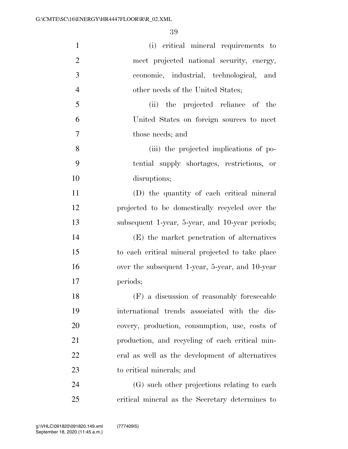| $\mathbf{1}$   | (i) critical mineral requirements to             |
|----------------|--------------------------------------------------|
| $\overline{2}$ | meet projected national security, energy,        |
| 3              | economic, industrial, technological, and         |
| $\overline{4}$ | other needs of the United States;                |
| 5              | (ii) the projected reliance of the               |
| 6              | United States on foreign sources to meet         |
| $\overline{7}$ | those needs; and                                 |
| 8              | (iii) the projected implications of po-          |
| 9              | tential supply shortages, restrictions, or       |
| 10             | disruptions;                                     |
| 11             | (D) the quantity of each critical mineral        |
| 12             | projected to be domestically recycled over the   |
| 13             | subsequent 1-year, 5-year, and 10-year periods;  |
| 14             | (E) the market penetration of alternatives       |
| 15             | to each critical mineral projected to take place |
| 16             | over the subsequent 1-year, 5-year, and 10-year  |
| 17             | periods;                                         |
| 18             | (F) a discussion of reasonably foreseeable       |
| 19             | international trends associated with the dis-    |
| 20             | covery, production, consumption, use, costs of   |
| 21             | production, and recycling of each critical min-  |
| 22             | eral as well as the development of alternatives  |
| 23             | to critical minerals; and                        |
| 24             | (G) such other projections relating to each      |
| 25             | critical mineral as the Secretary determines to  |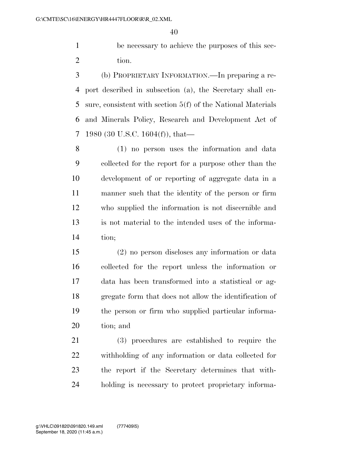be necessary to achieve the purposes of this sec-2 tion.

 (b) PROPRIETARY INFORMATION.—In preparing a re- port described in subsection (a), the Secretary shall en- sure, consistent with section 5(f) of the National Materials and Minerals Policy, Research and Development Act of 1980 (30 U.S.C. 1604(f)), that—

 (1) no person uses the information and data collected for the report for a purpose other than the development of or reporting of aggregate data in a manner such that the identity of the person or firm who supplied the information is not discernible and is not material to the intended uses of the informa-tion;

 (2) no person discloses any information or data collected for the report unless the information or data has been transformed into a statistical or ag- gregate form that does not allow the identification of the person or firm who supplied particular informa-tion; and

 (3) procedures are established to require the withholding of any information or data collected for the report if the Secretary determines that with-holding is necessary to protect proprietary informa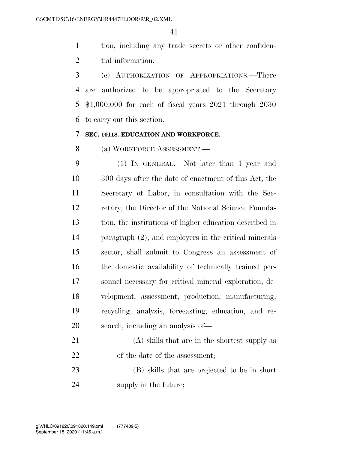tion, including any trade secrets or other confiden-tial information.

 (c) AUTHORIZATION OF APPROPRIATIONS.—There are authorized to be appropriated to the Secretary \$4,000,000 for each of fiscal years 2021 through 2030 to carry out this section.

## **SEC. 10118. EDUCATION AND WORKFORCE.**

(a) WORKFORCE ASSESSMENT.—

 (1) IN GENERAL.—Not later than 1 year and 300 days after the date of enactment of this Act, the Secretary of Labor, in consultation with the Sec- retary, the Director of the National Science Founda- tion, the institutions of higher education described in paragraph (2), and employers in the critical minerals sector, shall submit to Congress an assessment of the domestic availability of technically trained per- sonnel necessary for critical mineral exploration, de- velopment, assessment, production, manufacturing, recycling, analysis, forecasting, education, and re-search, including an analysis of—

| 21 | (A) skills that are in the shortest supply as |
|----|-----------------------------------------------|
| 22 | of the date of the assessment;                |

 (B) skills that are projected to be in short supply in the future;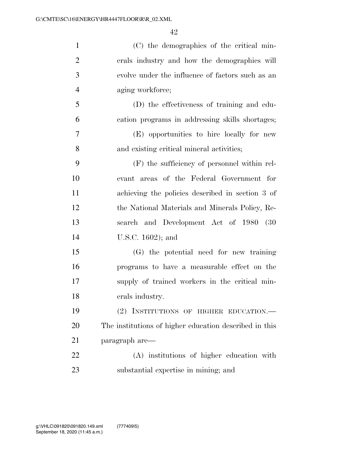| $\mathbf{1}$   | (C) the demographics of the critical min-              |
|----------------|--------------------------------------------------------|
| $\overline{2}$ | erals industry and how the demographics will           |
| 3              | evolve under the influence of factors such as an       |
| $\overline{4}$ | aging workforce;                                       |
| 5              | (D) the effectiveness of training and edu-             |
| 6              | cation programs in addressing skills shortages;        |
| $\tau$         | (E) opportunities to hire locally for new              |
| 8              | and existing critical mineral activities;              |
| 9              | (F) the sufficiency of personnel within rel-           |
| 10             | evant areas of the Federal Government for              |
| 11             | achieving the policies described in section 3 of       |
| 12             | the National Materials and Minerals Policy, Re-        |
| 13             | search and Development Act of 1980 (30                 |
| 14             | U.S.C. $1602$ ; and                                    |
| 15             | (G) the potential need for new training                |
| 16             | programs to have a measurable effect on the            |
| 17             | supply of trained workers in the critical min-         |
| 18             | erals industry.                                        |
| 19             | (2) INSTITUTIONS OF HIGHER EDUCATION.                  |
| 20             | The institutions of higher education described in this |
| 21             | paragraph are—                                         |
| 22             | (A) institutions of higher education with              |
| 23             | substantial expertise in mining; and                   |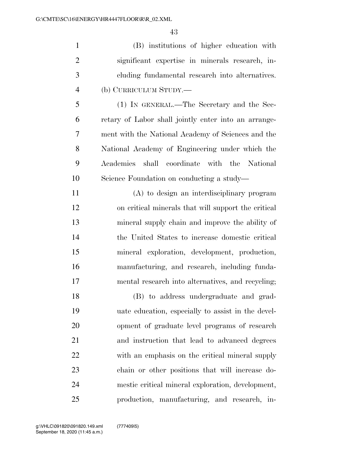(B) institutions of higher education with significant expertise in minerals research, in- cluding fundamental research into alternatives. (b) CURRICULUM STUDY.—

 (1) IN GENERAL.—The Secretary and the Sec- retary of Labor shall jointly enter into an arrange- ment with the National Academy of Sciences and the National Academy of Engineering under which the Academies shall coordinate with the National Science Foundation on conducting a study—

 (A) to design an interdisciplinary program on critical minerals that will support the critical mineral supply chain and improve the ability of the United States to increase domestic critical mineral exploration, development, production, manufacturing, and research, including funda-mental research into alternatives, and recycling;

 (B) to address undergraduate and grad- uate education, especially to assist in the devel- opment of graduate level programs of research and instruction that lead to advanced degrees with an emphasis on the critical mineral supply chain or other positions that will increase do- mestic critical mineral exploration, development, production, manufacturing, and research, in-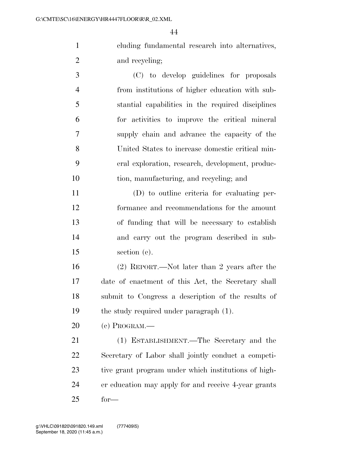cluding fundamental research into alternatives, and recycling;

 (C) to develop guidelines for proposals from institutions of higher education with sub- stantial capabilities in the required disciplines for activities to improve the critical mineral supply chain and advance the capacity of the United States to increase domestic critical min- eral exploration, research, development, produc-tion, manufacturing, and recycling; and

 (D) to outline criteria for evaluating per- formance and recommendations for the amount of funding that will be necessary to establish and carry out the program described in sub-section (c).

 (2) REPORT.—Not later than 2 years after the date of enactment of this Act, the Secretary shall submit to Congress a description of the results of the study required under paragraph (1).

(c) PROGRAM.—

 (1) ESTABLISHMENT.—The Secretary and the Secretary of Labor shall jointly conduct a competi- tive grant program under which institutions of high- er education may apply for and receive 4-year grants for—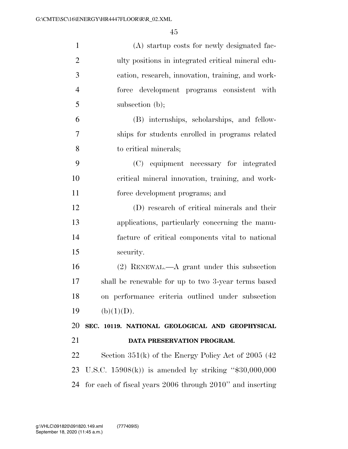| $\mathbf{1}$   | (A) startup costs for newly designated fac-            |
|----------------|--------------------------------------------------------|
| $\overline{2}$ | ulty positions in integrated critical mineral edu-     |
| 3              | cation, research, innovation, training, and work-      |
| $\overline{4}$ | force development programs consistent with             |
| 5              | subsection $(b)$ ;                                     |
| 6              | (B) internships, scholarships, and fellow-             |
| 7              | ships for students enrolled in programs related        |
| 8              | to critical minerals;                                  |
| 9              | (C) equipment necessary for integrated                 |
| 10             | critical mineral innovation, training, and work-       |
| 11             | force development programs; and                        |
| 12             | (D) research of critical minerals and their            |
| 13             | applications, particularly concerning the manu-        |
| 14             | facture of critical components vital to national       |
| 15             | security.                                              |
| 16             | $(2)$ RENEWAL.—A grant under this subsection           |
| 17             | shall be renewable for up to two 3-year terms based    |
| 18             | on performance criteria outlined under subsection      |
| 19             |                                                        |
|                | (b)(1)(D).                                             |
| 20             | SEC. 10119. NATIONAL GEOLOGICAL AND GEOPHYSICAL        |
| 21             | DATA PRESERVATION PROGRAM.                             |
| 22             | Section $351(k)$ of the Energy Policy Act of 2005 (42) |
| 23             | U.S.C. $15908(k)$ is amended by striking "\$30,000,000 |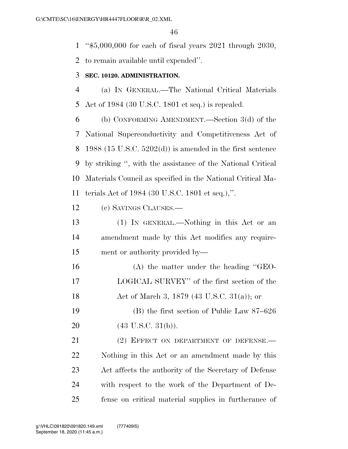''\$5,000,000 for each of fiscal years 2021 through 2030,

to remain available until expended''.

## **SEC. 10120. ADMINISTRATION.**

 (a) IN GENERAL.—The National Critical Materials Act of 1984 (30 U.S.C. 1801 et seq.) is repealed.

 (b) CONFORMING AMENDMENT.—Section 3(d) of the National Superconductivity and Competitiveness Act of 1988 (15 U.S.C. 5202(d)) is amended in the first sentence by striking '', with the assistance of the National Critical Materials Council as specified in the National Critical Ma-terials Act of 1984 (30 U.S.C. 1801 et seq.),''.

(c) SAVINGS CLAUSES.—

 (1) IN GENERAL.—Nothing in this Act or an amendment made by this Act modifies any require-ment or authority provided by—

 (A) the matter under the heading ''GEO- LOGICAL SURVEY'' of the first section of the Act of March 3, 1879 (43 U.S.C. 31(a)); or

 (B) the first section of Public Law 87–626 20 (43 U.S.C. 31(b)).

21 (2) EFFECT ON DEPARTMENT OF DEFENSE. Nothing in this Act or an amendment made by this Act affects the authority of the Secretary of Defense with respect to the work of the Department of De-fense on critical material supplies in furtherance of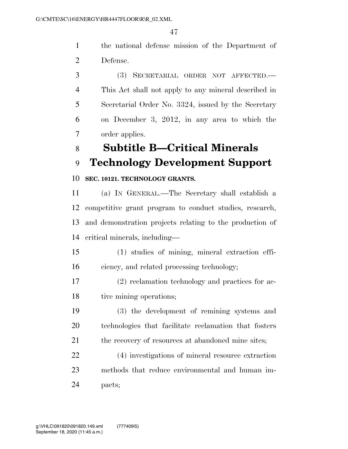the national defense mission of the Department of Defense.

 (3) SECRETARIAL ORDER NOT AFFECTED.— This Act shall not apply to any mineral described in Secretarial Order No. 3324, issued by the Secretary on December 3, 2012, in any area to which the order applies.

## **Subtitle B—Critical Minerals**

## **Technology Development Support**

### **SEC. 10121. TECHNOLOGY GRANTS.**

 (a) IN GENERAL.—The Secretary shall establish a competitive grant program to conduct studies, research, and demonstration projects relating to the production of critical minerals, including—

 (1) studies of mining, mineral extraction effi-ciency, and related processing technology;

 (2) reclamation technology and practices for ac-18 tive mining operations;

 (3) the development of remining systems and technologies that facilitate reclamation that fosters 21 the recovery of resources at abandoned mine sites;

 (4) investigations of mineral resource extraction methods that reduce environmental and human im-pacts;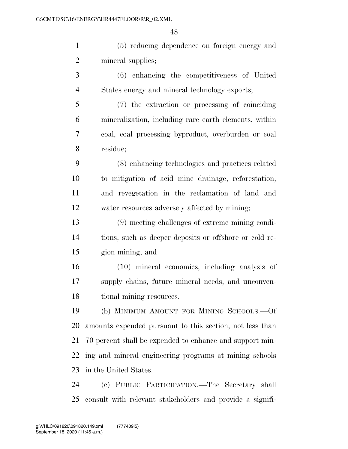(5) reducing dependence on foreign energy and 2 mineral supplies; (6) enhancing the competitiveness of United States energy and mineral technology exports;

 (7) the extraction or processing of coinciding mineralization, including rare earth elements, within coal, coal processing byproduct, overburden or coal residue;

 (8) enhancing technologies and practices related to mitigation of acid mine drainage, reforestation, and revegetation in the reclamation of land and water resources adversely affected by mining;

 (9) meeting challenges of extreme mining condi- tions, such as deeper deposits or offshore or cold re-gion mining; and

 (10) mineral economics, including analysis of supply chains, future mineral needs, and unconven-18 tional mining resources.

 (b) MINIMUM AMOUNT FOR MINING SCHOOLS.—Of amounts expended pursuant to this section, not less than 70 percent shall be expended to enhance and support min- ing and mineral engineering programs at mining schools in the United States.

 (c) PUBLIC PARTICIPATION.—The Secretary shall consult with relevant stakeholders and provide a signifi-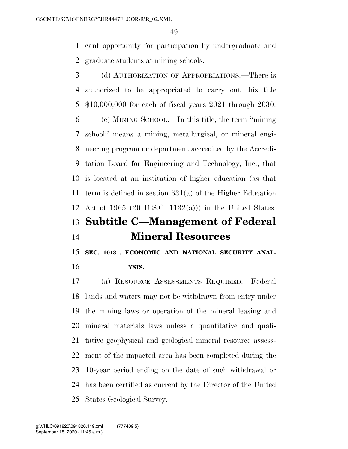cant opportunity for participation by undergraduate and graduate students at mining schools.

 (d) AUTHORIZATION OF APPROPRIATIONS.—There is authorized to be appropriated to carry out this title \$10,000,000 for each of fiscal years 2021 through 2030. (e) MINING SCHOOL.—In this title, the term ''mining school'' means a mining, metallurgical, or mineral engi- neering program or department accredited by the Accredi- tation Board for Engineering and Technology, Inc., that is located at an institution of higher education (as that term is defined in section 631(a) of the Higher Education Act of 1965 (20 U.S.C. 1132(a))) in the United States. **Subtitle C—Management of Federal Mineral Resources** 

 **SEC. 10131. ECONOMIC AND NATIONAL SECURITY ANAL-YSIS.** 

 (a) RESOURCE ASSESSMENTS REQUIRED.—Federal lands and waters may not be withdrawn from entry under the mining laws or operation of the mineral leasing and mineral materials laws unless a quantitative and quali- tative geophysical and geological mineral resource assess- ment of the impacted area has been completed during the 10-year period ending on the date of such withdrawal or has been certified as current by the Director of the United States Geological Survey.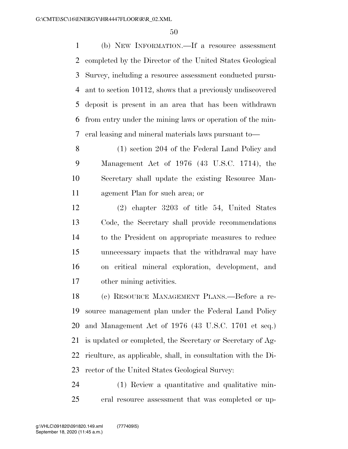(b) NEW INFORMATION.—If a resource assessment completed by the Director of the United States Geological Survey, including a resource assessment conducted pursu- ant to section 10112, shows that a previously undiscovered deposit is present in an area that has been withdrawn from entry under the mining laws or operation of the min-eral leasing and mineral materials laws pursuant to—

 (1) section 204 of the Federal Land Policy and Management Act of 1976 (43 U.S.C. 1714), the Secretary shall update the existing Resource Man-agement Plan for such area; or

 (2) chapter 3203 of title 54, United States Code, the Secretary shall provide recommendations to the President on appropriate measures to reduce unnecessary impacts that the withdrawal may have on critical mineral exploration, development, and other mining activities.

 (c) RESOURCE MANAGEMENT PLANS.—Before a re- source management plan under the Federal Land Policy and Management Act of 1976 (43 U.S.C. 1701 et seq.) is updated or completed, the Secretary or Secretary of Ag- riculture, as applicable, shall, in consultation with the Di-rector of the United States Geological Survey:

 (1) Review a quantitative and qualitative min-eral resource assessment that was completed or up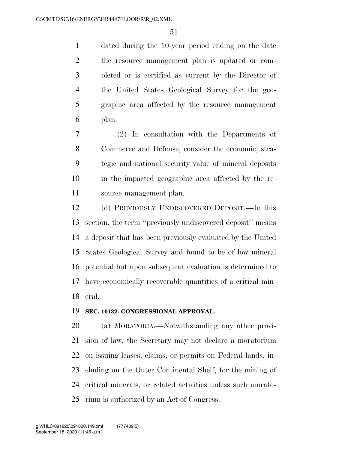dated during the 10-year period ending on the date the resource management plan is updated or com- pleted or is certified as current by the Director of the United States Geological Survey for the geo- graphic area affected by the resource management plan.

 (2) In consultation with the Departments of Commerce and Defense, consider the economic, stra- tegic and national security value of mineral deposits in the impacted geographic area affected by the re-source management plan.

 (d) PREVIOUSLY UNDISCOVERED DEPOSIT.—In this section, the term ''previously undiscovered deposit'' means a deposit that has been previously evaluated by the United States Geological Survey and found to be of low mineral potential but upon subsequent evaluation is determined to have economically recoverable quantities of a critical min-eral.

#### **SEC. 10132. CONGRESSIONAL APPROVAL.**

 (a) MORATORIA.—Notwithstanding any other provi- sion of law, the Secretary may not declare a moratorium on issuing leases, claims, or permits on Federal lands, in- cluding on the Outer Continental Shelf, for the mining of critical minerals, or related activities unless such morato-rium is authorized by an Act of Congress.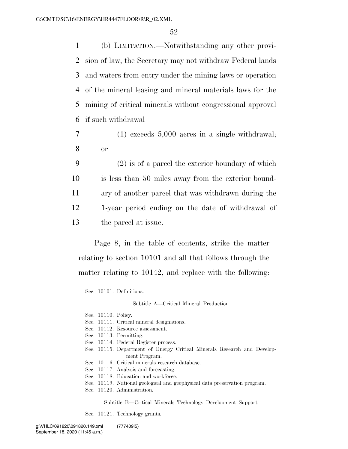(b) LIMITATION.—Notwithstanding any other provi- sion of law, the Secretary may not withdraw Federal lands and waters from entry under the mining laws or operation of the mineral leasing and mineral materials laws for the mining of critical minerals without congressional approval if such withdrawal—

7 (1) exceeds 5,000 acres in a single withdrawal; 8 or

 (2) is of a parcel the exterior boundary of which is less than 50 miles away from the exterior bound- ary of another parcel that was withdrawn during the 1-year period ending on the date of withdrawal of the parcel at issue.

Page 8, in the table of contents, strike the matter relating to section 10101 and all that follows through the matter relating to 10142, and replace with the following:

Sec. 10101. Definitions.

Subtitle A—Critical Mineral Production

- Sec. 10110. Policy.
- Sec. 10111. Critical mineral designations.
- Sec. 10112. Resource assessment.
- Sec. 10113. Permitting.
- Sec. 10114. Federal Register process.
- Sec. 10115. Department of Energy Critical Minerals Research and Development Program.
- Sec. 10116. Critical minerals research database.
- Sec. 10117. Analysis and forecasting.
- Sec. 10118. Education and workforce.
- Sec. 10119. National geological and geophysical data preservation program.
- Sec. 10120. Administration.

Subtitle B—Critical Minerals Technology Development Support

Sec. 10121. Technology grants.